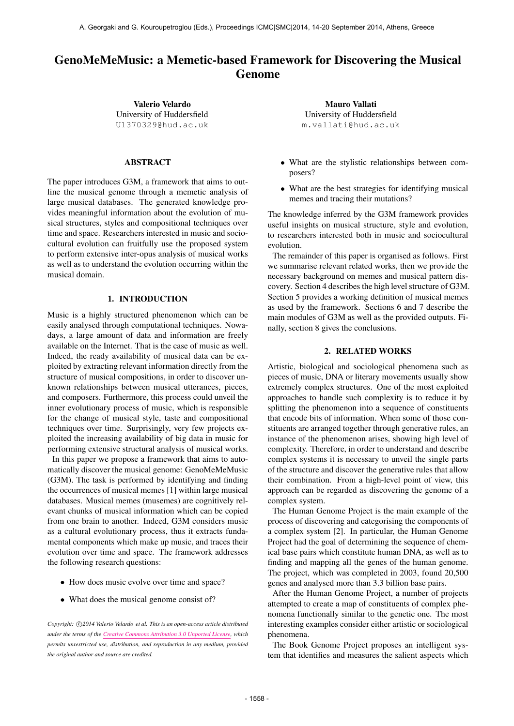# GenoMeMeMusic: a Memetic-based Framework for Discovering the Musical Genome

Valerio Velardo University of Huddersfield [U1370329@hud.ac.uk](mailto:U1370329@hud.ac.uk)

## ABSTRACT

The paper introduces G3M, a framework that aims to outline the musical genome through a memetic analysis of large musical databases. The generated knowledge provides meaningful information about the evolution of musical structures, styles and compositional techniques over time and space. Researchers interested in music and sociocultural evolution can fruitfully use the proposed system to perform extensive inter-opus analysis of musical works as well as to understand the evolution occurring within the musical domain.

## 1. INTRODUCTION

Music is a highly structured phenomenon which can be easily analysed through computational techniques. Nowadays, a large amount of data and information are freely available on the Internet. That is the case of music as well. Indeed, the ready availability of musical data can be exploited by extracting relevant information directly from the structure of musical compositions, in order to discover unknown relationships between musical utterances, pieces, and composers. Furthermore, this process could unveil the inner evolutionary process of music, which is responsible for the change of musical style, taste and compositional techniques over time. Surprisingly, very few projects exploited the increasing availability of big data in music for performing extensive structural analysis of musical works.

In this paper we propose a framework that aims to automatically discover the musical genome: GenoMeMeMusic (G3M). The task is performed by identifying and finding the occurrences of musical memes [1] within large musical databases. Musical memes (musemes) are cognitively relevant chunks of musical information which can be copied from one brain to another. Indeed, G3M considers music as a cultural evolutionary process, thus it extracts fundamental components which make up music, and traces their evolution over time and space. The framework addresses the following research questions:

- How does music evolve over time and space?
- What does the musical genome consist of?

Copyright:  $\bigcirc$ 2014 Valerio Velardo et al. This is an open-access article distributed *under the terms of the [Creative Commons Attribution 3.0 Unported License,](http://creativecommons.org/licenses/by/3.0/) which permits unrestricted use, distribution, and reproduction in any medium, provided the original author and source are credited.*

Mauro Vallati University of Huddersfield [m.vallati@hud.ac.uk](mailto:m.vallati@hud.ac.uk)

- What are the stylistic relationships between composers?
- What are the best strategies for identifying musical memes and tracing their mutations?

The knowledge inferred by the G3M framework provides useful insights on musical structure, style and evolution, to researchers interested both in music and sociocultural evolution.

The remainder of this paper is organised as follows. First we summarise relevant related works, then we provide the necessary background on memes and musical pattern discovery. Section 4 describes the high level structure of G3M. Section 5 provides a working definition of musical memes as used by the framework. Sections 6 and 7 describe the main modules of G3M as well as the provided outputs. Finally, section 8 gives the conclusions.

#### 2. RELATED WORKS

Artistic, biological and sociological phenomena such as pieces of music, DNA or literary movements usually show extremely complex structures. One of the most exploited approaches to handle such complexity is to reduce it by splitting the phenomenon into a sequence of constituents that encode bits of information. When some of those constituents are arranged together through generative rules, an instance of the phenomenon arises, showing high level of complexity. Therefore, in order to understand and describe complex systems it is necessary to unveil the single parts of the structure and discover the generative rules that allow their combination. From a high-level point of view, this approach can be regarded as discovering the genome of a complex system.

The Human Genome Project is the main example of the process of discovering and categorising the components of a complex system [2]. In particular, the Human Genome Project had the goal of determining the sequence of chemical base pairs which constitute human DNA, as well as to finding and mapping all the genes of the human genome. The project, which was completed in 2003, found 20,500 genes and analysed more than 3.3 billion base pairs.

After the Human Genome Project, a number of projects attempted to create a map of constituents of complex phenomena functionally similar to the genetic one. The most interesting examples consider either artistic or sociological phenomena.

The Book Genome Project proposes an intelligent system that identifies and measures the salient aspects which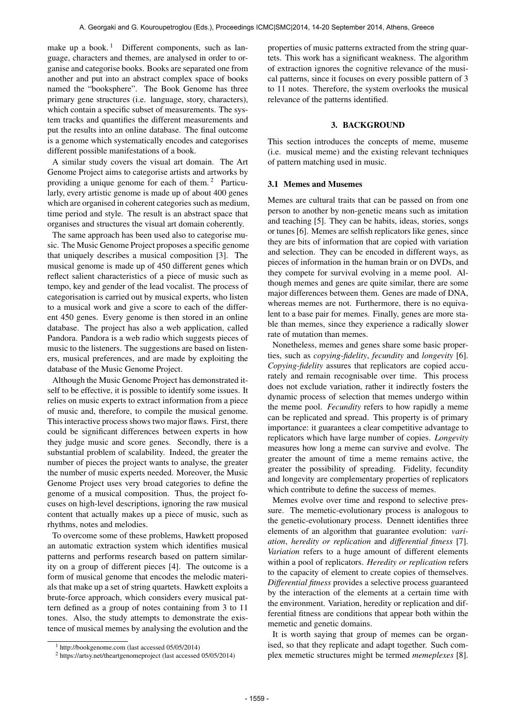make up a book.<sup>1</sup> Different components, such as language, characters and themes, are analysed in order to organise and categorise books. Books are separated one from another and put into an abstract complex space of books named the "booksphere". The Book Genome has three primary gene structures (i.e. language, story, characters), which contain a specific subset of measurements. The system tracks and quantifies the different measurements and put the results into an online database. The final outcome is a genome which systematically encodes and categorises different possible manifestations of a book.

A similar study covers the visual art domain. The Art Genome Project aims to categorise artists and artworks by providing a unique genome for each of them. 2 Particularly, every artistic genome is made up of about 400 genes which are organised in coherent categories such as medium, time period and style. The result is an abstract space that organises and structures the visual art domain coherently.

The same approach has been used also to categorise music. The Music Genome Project proposes a specific genome that uniquely describes a musical composition [3]. The musical genome is made up of 450 different genes which reflect salient characteristics of a piece of music such as tempo, key and gender of the lead vocalist. The process of categorisation is carried out by musical experts, who listen to a musical work and give a score to each of the different 450 genes. Every genome is then stored in an online database. The project has also a web application, called Pandora. Pandora is a web radio which suggests pieces of music to the listeners. The suggestions are based on listeners, musical preferences, and are made by exploiting the database of the Music Genome Project.

Although the Music Genome Project has demonstrated itself to be effective, it is possible to identify some issues. It relies on music experts to extract information from a piece of music and, therefore, to compile the musical genome. This interactive process shows two major flaws. First, there could be significant differences between experts in how they judge music and score genes. Secondly, there is a substantial problem of scalability. Indeed, the greater the number of pieces the project wants to analyse, the greater the number of music experts needed. Moreover, the Music Genome Project uses very broad categories to define the genome of a musical composition. Thus, the project focuses on high-level descriptions, ignoring the raw musical content that actually makes up a piece of music, such as rhythms, notes and melodies.

To overcome some of these problems, Hawkett proposed an automatic extraction system which identifies musical patterns and performs research based on pattern similarity on a group of different pieces [4]. The outcome is a form of musical genome that encodes the melodic materials that make up a set of string quartets. Hawkett exploits a brute-force approach, which considers every musical pattern defined as a group of notes containing from 3 to 11 tones. Also, the study attempts to demonstrate the existence of musical memes by analysing the evolution and the properties of music patterns extracted from the string quartets. This work has a significant weakness. The algorithm of extraction ignores the cognitive relevance of the musical patterns, since it focuses on every possible pattern of 3 to 11 notes. Therefore, the system overlooks the musical relevance of the patterns identified.

#### 3. BACKGROUND

This section introduces the concepts of meme, museme (i.e. musical meme) and the existing relevant techniques of pattern matching used in music.

# 3.1 Memes and Musemes

Memes are cultural traits that can be passed on from one person to another by non-genetic means such as imitation and teaching [5]. They can be habits, ideas, stories, songs or tunes [6]. Memes are selfish replicators like genes, since they are bits of information that are copied with variation and selection. They can be encoded in different ways, as pieces of information in the human brain or on DVDs, and they compete for survival evolving in a meme pool. Although memes and genes are quite similar, there are some major differences between them. Genes are made of DNA, whereas memes are not. Furthermore, there is no equivalent to a base pair for memes. Finally, genes are more stable than memes, since they experience a radically slower rate of mutation than memes.

Nonetheless, memes and genes share some basic properties, such as *copying-fidelity*, *fecundity* and *longevity* [6]. *Copying-fidelity* assures that replicators are copied accurately and remain recognisable over time. This process does not exclude variation, rather it indirectly fosters the dynamic process of selection that memes undergo within the meme pool. *Fecundity* refers to how rapidly a meme can be replicated and spread. This property is of primary importance: it guarantees a clear competitive advantage to replicators which have large number of copies. *Longevity* measures how long a meme can survive and evolve. The greater the amount of time a meme remains active, the greater the possibility of spreading. Fidelity, fecundity and longevity are complementary properties of replicators which contribute to define the success of memes.

Memes evolve over time and respond to selective pressure. The memetic-evolutionary process is analogous to the genetic-evolutionary process. Dennett identifies three elements of an algorithm that guarantee evolution: *variation*, *heredity or replication* and *differential fitness* [7]. *Variation* refers to a huge amount of different elements within a pool of replicators. *Heredity or replication* refers to the capacity of element to create copies of themselves. *Differential fitness* provides a selective process guaranteed by the interaction of the elements at a certain time with the environment. Variation, heredity or replication and differential fitness are conditions that appear both within the memetic and genetic domains.

It is worth saying that group of memes can be organised, so that they replicate and adapt together. Such complex memetic structures might be termed *memeplexes* [8].

 $1$  http://bookgenome.com (last accessed 05/05/2014)

<sup>2</sup> https://artsy.net/theartgenomeproject (last accessed 05/05/2014)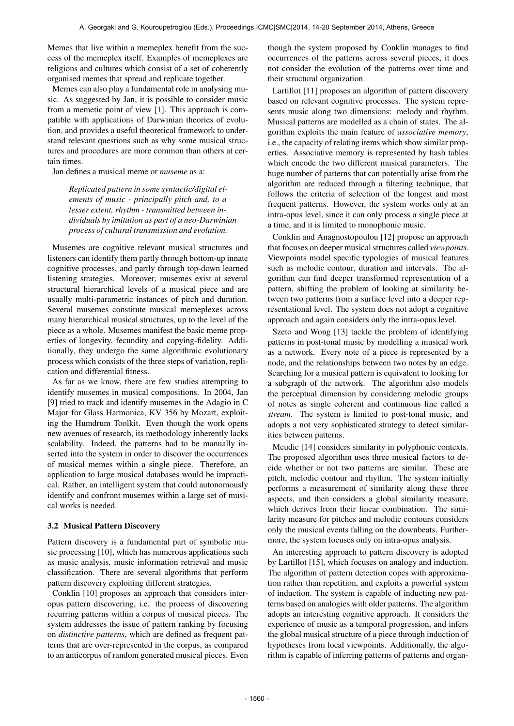Memes that live within a memeplex benefit from the success of the memeplex itself. Examples of memeplexes are religions and cultures which consist of a set of coherently organised memes that spread and replicate together.

Memes can also play a fundamental role in analysing music. As suggested by Jan, it is possible to consider music from a memetic point of view [1]. This approach is compatible with applications of Darwinian theories of evolution, and provides a useful theoretical framework to understand relevant questions such as why some musical structures and procedures are more common than others at certain times.

Jan defines a musical meme or *museme* as a:

*Replicated pattern in some syntactic/digital elements of music - principally pitch and, to a lesser extent, rhythm - transmitted between individuals by imitation as part of a neo-Darwinian process of cultural transmission and evolution.*

Musemes are cognitive relevant musical structures and listeners can identify them partly through bottom-up innate cognitive processes, and partly through top-down learned listening strategies. Moreover, musemes exist at several structural hierarchical levels of a musical piece and are usually multi-parametric instances of pitch and duration. Several musemes constitute musical memeplexes across many hierarchical musical structures, up to the level of the piece as a whole. Musemes manifest the basic meme properties of longevity, fecundity and copying-fidelity. Additionally, they undergo the same algorithmic evolutionary process which consists of the three steps of variation, replication and differential fitness.

As far as we know, there are few studies attempting to identify musemes in musical compositions. In 2004, Jan [9] tried to track and identify musemes in the Adagio in C Major for Glass Harmonica, KV 356 by Mozart, exploiting the Humdrum Toolkit. Even though the work opens new avenues of research, its methodology inherently lacks scalability. Indeed, the patterns had to be manually inserted into the system in order to discover the occurrences of musical memes within a single piece. Therefore, an application to large musical databases would be impractical. Rather, an intelligent system that could autonomously identify and confront musemes within a large set of musical works is needed.

## 3.2 Musical Pattern Discovery

Pattern discovery is a fundamental part of symbolic music processing [10], which has numerous applications such as music analysis, music information retrieval and music classification. There are several algorithms that perform pattern discovery exploiting different strategies.

Conklin [10] proposes an approach that considers interopus pattern discovering, i.e. the process of discovering recurring patterns within a corpus of musical pieces. The system addresses the issue of pattern ranking by focusing on *distinctive patterns*, which are defined as frequent patterns that are over-represented in the corpus, as compared to an anticorpus of random generated musical pieces. Even though the system proposed by Conklin manages to find occurrences of the patterns across several pieces, it does not consider the evolution of the patterns over time and their structural organization.

Lartillot [11] proposes an algorithm of pattern discovery based on relevant cognitive processes. The system represents music along two dimensions: melody and rhythm. Musical patterns are modelled as a chain of states. The algorithm exploits the main feature of *associative memory*, i.e., the capacity of relating items which show similar properties. Associative memory is represented by hash tables which encode the two different musical parameters. The huge number of patterns that can potentially arise from the algorithm are reduced through a filtering technique, that follows the criteria of selection of the longest and most frequent patterns. However, the system works only at an intra-opus level, since it can only process a single piece at a time, and it is limited to monophonic music.

Conklin and Anagnostopoulou [12] propose an approach that focuses on deeper musical structures called *viewpoints*. Viewpoints model specific typologies of musical features such as melodic contour, duration and intervals. The algorithm can find deeper transformed representation of a pattern, shifting the problem of looking at similarity between two patterns from a surface level into a deeper representational level. The system does not adopt a cognitive approach and again considers only the intra-opus level.

Szeto and Wong [13] tackle the problem of identifying patterns in post-tonal music by modelling a musical work as a network. Every note of a piece is represented by a node, and the relationships between two notes by an edge. Searching for a musical pattern is equivalent to looking for a subgraph of the network. The algorithm also models the perceptual dimension by considering melodic groups of notes as single coherent and continuous line called a *stream*. The system is limited to post-tonal music, and adopts a not very sophisticated strategy to detect similarities between patterns.

Meudic [14] considers similarity in polyphonic contexts. The proposed algorithm uses three musical factors to decide whether or not two patterns are similar. These are pitch, melodic contour and rhythm. The system initially performs a measurement of similarity along these three aspects, and then considers a global similarity measure, which derives from their linear combination. The similarity measure for pitches and melodic contours considers only the musical events falling on the downbeats. Furthermore, the system focuses only on intra-opus analysis.

An interesting approach to pattern discovery is adopted by Lartillot [15], which focuses on analogy and induction. The algorithm of pattern detection copes with approximation rather than repetition, and exploits a powerful system of induction. The system is capable of inducting new patterns based on analogies with older patterns. The algorithm adopts an interesting cognitive approach. It considers the experience of music as a temporal progression, and infers the global musical structure of a piece through induction of hypotheses from local viewpoints. Additionally, the algorithm is capable of inferring patterns of patterns and organ-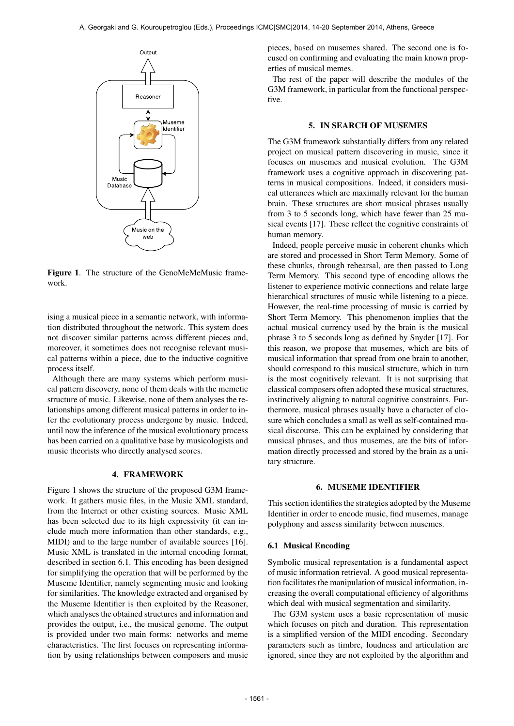

Figure 1. The structure of the GenoMeMeMusic framework.

ising a musical piece in a semantic network, with information distributed throughout the network. This system does not discover similar patterns across different pieces and, moreover, it sometimes does not recognise relevant musical patterns within a piece, due to the inductive cognitive process itself.

Although there are many systems which perform musical pattern discovery, none of them deals with the memetic structure of music. Likewise, none of them analyses the relationships among different musical patterns in order to infer the evolutionary process undergone by music. Indeed, until now the inference of the musical evolutionary process has been carried on a qualitative base by musicologists and music theorists who directly analysed scores.

#### 4. FRAMEWORK

Figure 1 shows the structure of the proposed G3M framework. It gathers music files, in the Music XML standard, from the Internet or other existing sources. Music XML has been selected due to its high expressivity (it can include much more information than other standards, e.g., MIDI) and to the large number of available sources [16]. Music XML is translated in the internal encoding format, described in section 6.1. This encoding has been designed for simplifying the operation that will be performed by the Museme Identifier, namely segmenting music and looking for similarities. The knowledge extracted and organised by the Museme Identifier is then exploited by the Reasoner, which analyses the obtained structures and information and provides the output, i.e., the musical genome. The output is provided under two main forms: networks and meme characteristics. The first focuses on representing information by using relationships between composers and music pieces, based on musemes shared. The second one is focused on confirming and evaluating the main known properties of musical memes.

The rest of the paper will describe the modules of the G3M framework, in particular from the functional perspective.

#### 5. IN SEARCH OF MUSEMES

The G3M framework substantially differs from any related project on musical pattern discovering in music, since it focuses on musemes and musical evolution. The G3M framework uses a cognitive approach in discovering patterns in musical compositions. Indeed, it considers musical utterances which are maximally relevant for the human brain. These structures are short musical phrases usually from 3 to 5 seconds long, which have fewer than 25 musical events [17]. These reflect the cognitive constraints of human memory.

Indeed, people perceive music in coherent chunks which are stored and processed in Short Term Memory. Some of these chunks, through rehearsal, are then passed to Long Term Memory. This second type of encoding allows the listener to experience motivic connections and relate large hierarchical structures of music while listening to a piece. However, the real-time processing of music is carried by Short Term Memory. This phenomenon implies that the actual musical currency used by the brain is the musical phrase 3 to 5 seconds long as defined by Snyder [17]. For this reason, we propose that musemes, which are bits of musical information that spread from one brain to another, should correspond to this musical structure, which in turn is the most cognitively relevant. It is not surprising that classical composers often adopted these musical structures, instinctively aligning to natural cognitive constraints. Furthermore, musical phrases usually have a character of closure which concludes a small as well as self-contained musical discourse. This can be explained by considering that musical phrases, and thus musemes, are the bits of information directly processed and stored by the brain as a unitary structure.

## 6. MUSEME IDENTIFIER

This section identifies the strategies adopted by the Museme Identifier in order to encode music, find musemes, manage polyphony and assess similarity between musemes.

#### 6.1 Musical Encoding

Symbolic musical representation is a fundamental aspect of music information retrieval. A good musical representation facilitates the manipulation of musical information, increasing the overall computational efficiency of algorithms which deal with musical segmentation and similarity.

The G3M system uses a basic representation of music which focuses on pitch and duration. This representation is a simplified version of the MIDI encoding. Secondary parameters such as timbre, loudness and articulation are ignored, since they are not exploited by the algorithm and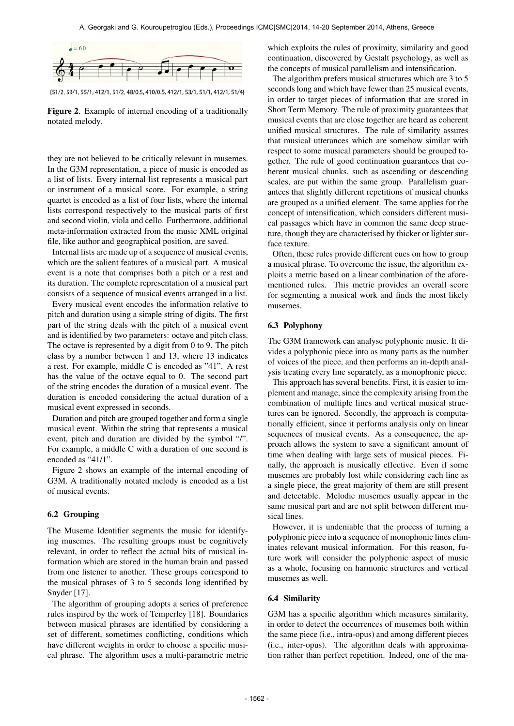

{51/2, 53/1, 55/1, 412/1, 51/2, 48/0.5, 410/0.5, 412/1, 53/1, 51/1, 412/1, 51/4}

Figure 2. Example of internal encoding of a traditionally notated melody.

they are not believed to be critically relevant in musemes. In the G3M representation, a piece of music is encoded as a list of lists. Every internal list represents a musical part or instrument of a musical score. For example, a string quartet is encoded as a list of four lists, where the internal lists correspond respectively to the musical parts of first and second violin, viola and cello. Furthermore, additional meta-information extracted from the music XML original file, like author and geographical position, are saved.

Internal lists are made up of a sequence of musical events, which are the salient features of a musical part. A musical event is a note that comprises both a pitch or a rest and its duration. The complete representation of a musical part consists of a sequence of musical events arranged in a list.

Every musical event encodes the information relative to pitch and duration using a simple string of digits. The first part of the string deals with the pitch of a musical event and is identified by two parameters: octave and pitch class. The octave is represented by a digit from 0 to 9. The pitch class by a number between 1 and 13, where 13 indicates a rest. For example, middle C is encoded as "41". A rest has the value of the octave equal to 0. The second part of the string encodes the duration of a musical event. The duration is encoded considering the actual duration of a musical event expressed in seconds.

Duration and pitch are grouped together and form a single musical event. Within the string that represents a musical event, pitch and duration are divided by the symbol "/". For example, a middle C with a duration of one second is encoded as "41/1".

Figure 2 shows an example of the internal encoding of G3M. A traditionally notated melody is encoded as a list of musical events.

## 6.2 Grouping

The Museme Identifier segments the music for identifying musemes. The resulting groups must be cognitively relevant, in order to reflect the actual bits of musical information which are stored in the human brain and passed from one listener to another. These groups correspond to the musical phrases of 3 to 5 seconds long identified by Snyder [17].

The algorithm of grouping adopts a series of preference rules inspired by the work of Temperley [18]. Boundaries between musical phrases are identified by considering a set of different, sometimes conflicting, conditions which have different weights in order to choose a specific musical phrase. The algorithm uses a multi-parametric metric which exploits the rules of proximity, similarity and good continuation, discovered by Gestalt psychology, as well as the concepts of musical parallelism and intensification.

The algorithm prefers musical structures which are 3 to 5 seconds long and which have fewer than 25 musical events, in order to target pieces of information that are stored in Short Term Memory. The rule of proximity guarantees that musical events that are close together are heard as coherent unified musical structures. The rule of similarity assures that musical utterances which are somehow similar with respect to some musical parameters should be grouped together. The rule of good continuation guarantees that coherent musical chunks, such as ascending or descending scales, are put within the same group. Parallelism guarantees that slightly different repetitions of musical chunks are grouped as a unified element. The same applies for the concept of intensification, which considers different musical passages which have in common the same deep structure, though they are characterised by thicker or lighter surface texture.

Often, these rules provide different cues on how to group a musical phrase. To overcome the issue, the algorithm exploits a metric based on a linear combination of the aforementioned rules. This metric provides an overall score for segmenting a musical work and finds the most likely musemes.

# 6.3 Polyphony

The G3M framework can analyse polyphonic music. It divides a polyphonic piece into as many parts as the number of voices of the piece, and then performs an in-depth analysis treating every line separately, as a monophonic piece.

This approach has several benefits. First, it is easier to implement and manage, since the complexity arising from the combination of multiple lines and vertical musical structures can be ignored. Secondly, the approach is computationally efficient, since it performs analysis only on linear sequences of musical events. As a consequence, the approach allows the system to save a significant amount of time when dealing with large sets of musical pieces. Finally, the approach is musically effective. Even if some musemes are probably lost while considering each line as a single piece, the great majority of them are still present and detectable. Melodic musemes usually appear in the same musical part and are not split between different musical lines.

However, it is undeniable that the process of turning a polyphonic piece into a sequence of monophonic lines eliminates relevant musical information. For this reason, future work will consider the polyphonic aspect of music as a whole, focusing on harmonic structures and vertical musemes as well.

## 6.4 Similarity

G3M has a specific algorithm which measures similarity, in order to detect the occurrences of musemes both within the same piece (i.e., intra-opus) and among different pieces (i.e., inter-opus). The algorithm deals with approximation rather than perfect repetition. Indeed, one of the ma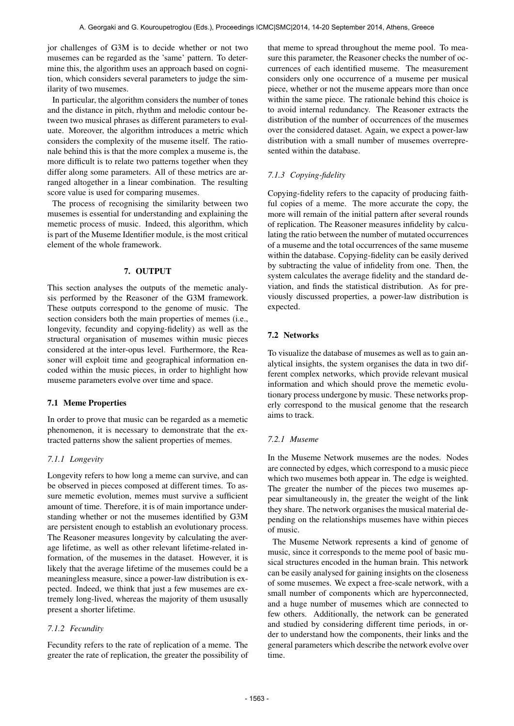jor challenges of G3M is to decide whether or not two musemes can be regarded as the 'same' pattern. To determine this, the algorithm uses an approach based on cognition, which considers several parameters to judge the similarity of two musemes.

In particular, the algorithm considers the number of tones and the distance in pitch, rhythm and melodic contour between two musical phrases as different parameters to evaluate. Moreover, the algorithm introduces a metric which considers the complexity of the museme itself. The rationale behind this is that the more complex a museme is, the more difficult is to relate two patterns together when they differ along some parameters. All of these metrics are arranged altogether in a linear combination. The resulting score value is used for comparing musemes.

The process of recognising the similarity between two musemes is essential for understanding and explaining the memetic process of music. Indeed, this algorithm, which is part of the Museme Identifier module, is the most critical element of the whole framework.

## 7. OUTPUT

This section analyses the outputs of the memetic analysis performed by the Reasoner of the G3M framework. These outputs correspond to the genome of music. The section considers both the main properties of memes (i.e., longevity, fecundity and copying-fidelity) as well as the structural organisation of musemes within music pieces considered at the inter-opus level. Furthermore, the Reasoner will exploit time and geographical information encoded within the music pieces, in order to highlight how museme parameters evolve over time and space.

## 7.1 Meme Properties

In order to prove that music can be regarded as a memetic phenomenon, it is necessary to demonstrate that the extracted patterns show the salient properties of memes.

# *7.1.1 Longevity*

Longevity refers to how long a meme can survive, and can be observed in pieces composed at different times. To assure memetic evolution, memes must survive a sufficient amount of time. Therefore, it is of main importance understanding whether or not the musemes identified by G3M are persistent enough to establish an evolutionary process. The Reasoner measures longevity by calculating the average lifetime, as well as other relevant lifetime-related information, of the musemes in the dataset. However, it is likely that the average lifetime of the musemes could be a meaningless measure, since a power-law distribution is expected. Indeed, we think that just a few musemes are extremely long-lived, whereas the majority of them ususally present a shorter lifetime.

## *7.1.2 Fecundity*

Fecundity refers to the rate of replication of a meme. The greater the rate of replication, the greater the possibility of that meme to spread throughout the meme pool. To measure this parameter, the Reasoner checks the number of occurrences of each identified museme. The measurement considers only one occurrence of a museme per musical piece, whether or not the museme appears more than once within the same piece. The rationale behind this choice is to avoid internal redundancy. The Reasoner extracts the distribution of the number of occurrences of the musemes over the considered dataset. Again, we expect a power-law distribution with a small number of musemes overrepresented within the database.

# *7.1.3 Copying-fidelity*

Copying-fidelity refers to the capacity of producing faithful copies of a meme. The more accurate the copy, the more will remain of the initial pattern after several rounds of replication. The Reasoner measures infidelity by calculating the ratio between the number of mutated occurrences of a museme and the total occurrences of the same museme within the database. Copying-fidelity can be easily derived by subtracting the value of infidelity from one. Then, the system calculates the average fidelity and the standard deviation, and finds the statistical distribution. As for previously discussed properties, a power-law distribution is expected.

## 7.2 Networks

To visualize the database of musemes as well as to gain analytical insights, the system organises the data in two different complex networks, which provide relevant musical information and which should prove the memetic evolutionary process undergone by music. These networks properly correspond to the musical genome that the research aims to track.

# *7.2.1 Museme*

In the Museme Network musemes are the nodes. Nodes are connected by edges, which correspond to a music piece which two musemes both appear in. The edge is weighted. The greater the number of the pieces two musemes appear simultaneously in, the greater the weight of the link they share. The network organises the musical material depending on the relationships musemes have within pieces of music.

The Museme Network represents a kind of genome of music, since it corresponds to the meme pool of basic musical structures encoded in the human brain. This network can be easily analysed for gaining insights on the closeness of some musemes. We expect a free-scale network, with a small number of components which are hyperconnected, and a huge number of musemes which are connected to few others. Additionally, the network can be generated and studied by considering different time periods, in order to understand how the components, their links and the general parameters which describe the network evolve over time.